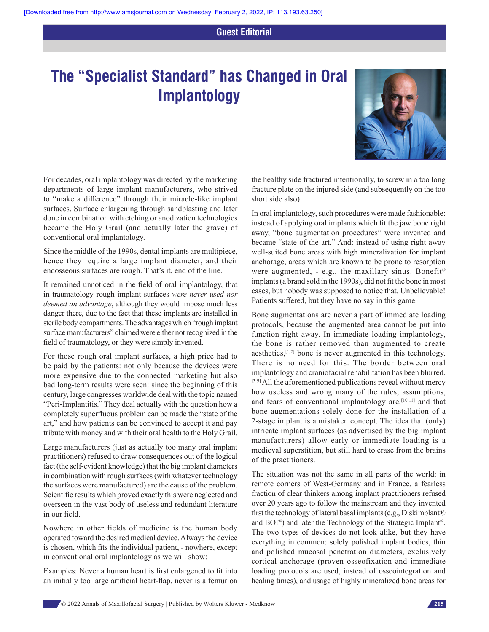## **Guest Editorial**

## **The "Specialist Standard" has Changed in Oral Implantology**



For decades, oral implantology was directed by the marketing departments of large implant manufacturers, who strived to "make a difference" through their miracle‑like implant surfaces. Surface enlargening through sandblasting and later done in combination with etching or anodization technologies became the Holy Grail (and actually later the grave) of conventional oral implantology.

Since the middle of the 1990s, dental implants are multipiece, hence they require a large implant diameter, and their endosseous surfaces are rough. That's it, end of the line.

It remained unnoticed in the field of oral implantology, that in traumatology rough implant surfaces *were never used nor deemed an advantage*, although they would impose much less danger there, due to the fact that these implants are installed in sterile body compartments. The advantages which "rough implant surface manufacturers" claimed were either not recognized in the field of traumatology, or they were simply invented.

For those rough oral implant surfaces, a high price had to be paid by the patients: not only because the devices were more expensive due to the connected marketing but also bad long-term results were seen: since the beginning of this century, large congresses worldwide deal with the topic named "Peri-Implantitis." They deal actually with the question how a completely superfluous problem can be made the "state of the art," and how patients can be convinced to accept it and pay tribute with money and with their oral health to the Holy Grail.

Large manufacturers (just as actually too many oral implant practitioners) refused to draw consequences out of the logical fact (the self-evident knowledge) that the big implant diameters in combination with rough surfaces(with whatever technology the surfaces were manufactured) are the cause of the problem. Scientific results which proved exactly this were neglected and overseen in the vast body of useless and redundant literature in our field.

Nowhere in other fields of medicine is the human body operated toward the desired medical device. Always the device is chosen, which fits the individual patient, ‑ nowhere, except in conventional oral implantology as we will show:

Examples: Never a human heart is first enlargened to fit into an initially too large artificial heart‑flap, never is a femur on

the healthy side fractured intentionally, to screw in a too long fracture plate on the injured side (and subsequently on the too short side also).

In oral implantology, such procedures were made fashionable: instead of applying oral implants which fit the jaw bone right away, "bone augmentation procedures" were invented and became "state of the art." And: instead of using right away well-suited bone areas with high mineralization for implant anchorage, areas which are known to be prone to resorption were augmented, - e.g., the maxillary sinus. Bonefit<sup>®</sup> implants(a brand sold in the 1990s), did not fit the bone in most cases, but nobody was supposed to notice that. Unbelievable! Patients suffered, but they have no say in this game.

Bone augmentations are never a part of immediate loading protocols, because the augmented area cannot be put into function right away. In immediate loading implantology, the bone is rather removed than augmented to create aesthetics,[1,2] bone is never augmented in this technology. There is no need for this. The border between oral implantology and craniofacial rehabilitation has been blurred. [3-9] All the aforementioned publications reveal without mercy how useless and wrong many of the rules, assumptions, and fears of conventional implantology are,[10,11] and that bone augmentations solely done for the installation of a 2-stage implant is a mistaken concept. The idea that (only) intricate implant surfaces (as advertised by the big implant manufacturers) allow early or immediate loading is a medieval superstition, but still hard to erase from the brains of the practitioners.

The situation was not the same in all parts of the world: in remote corners of West-Germany and in France, a fearless fraction of clear thinkers among implant practitioners refused over 20 years ago to follow the mainstream and they invented first the technology of lateral basal implants(e.g., Diskimplant® and BOI®) and later the Technology of the Strategic Implant®. The two types of devices do not look alike, but they have everything in common: solely polished implant bodies, thin and polished mucosal penetration diameters, exclusively cortical anchorage (proven osseofixation and immediate loading protocols are used, instead of osseointegration and healing times), and usage of highly mineralized bone areas for